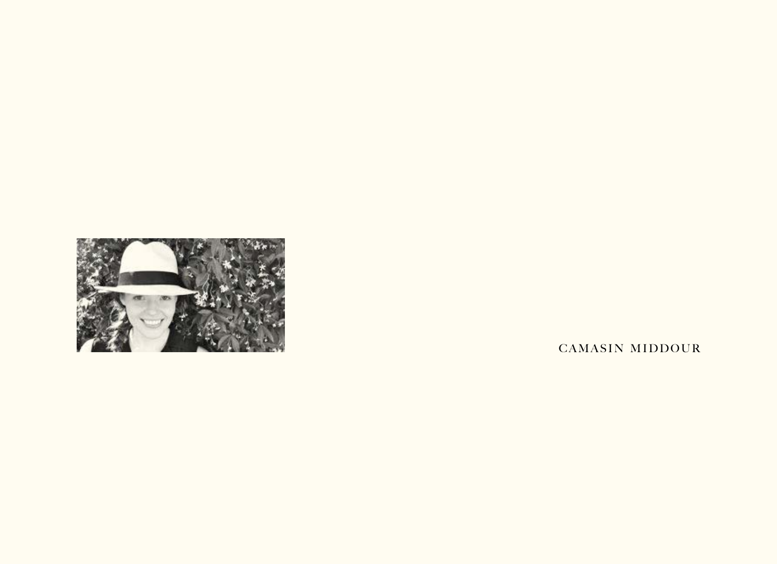

CAMASIN MIDDOUR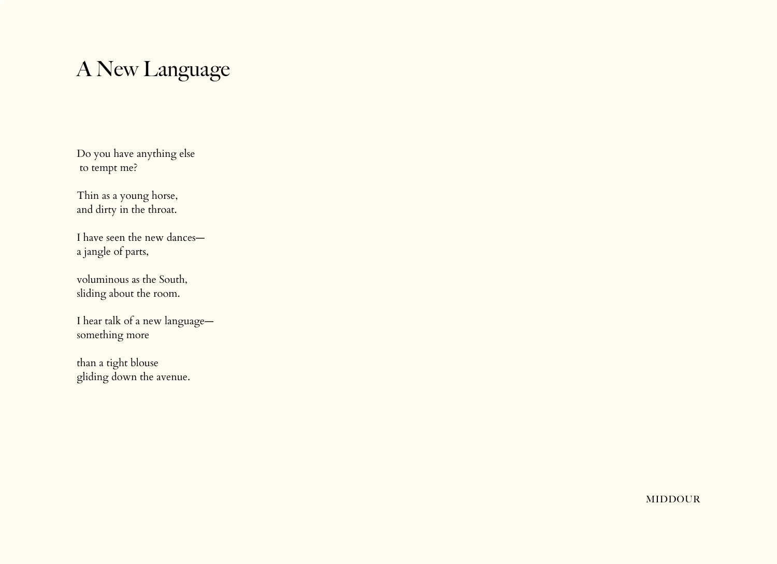# A New Language

Do you have anything else to tempt me?

Thin as a young horse, and dirty in the throat.

I have seen the new dances a jangle of parts,

voluminous as the South, sliding about the room.

I hear talk of a new language something more

than a tight blouse gliding down the avenue.

middour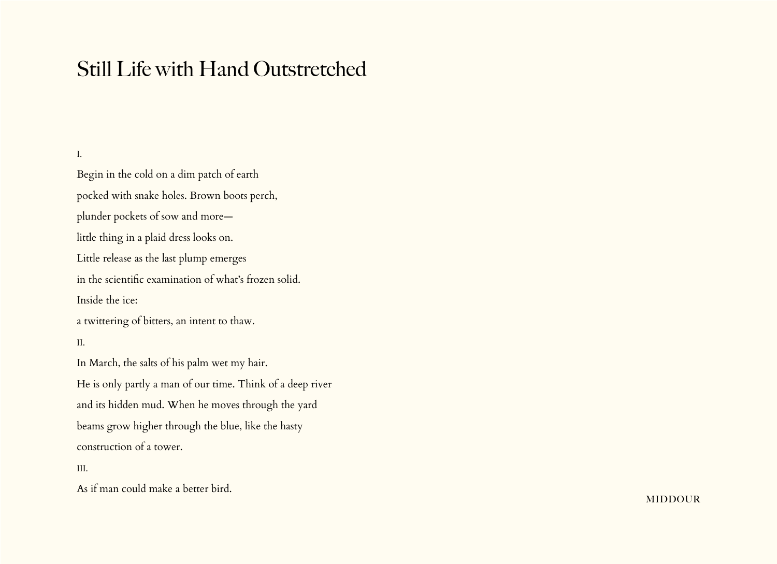## Still Life with Hand Outstretched

## I.

Begin in the cold on a dim patch of earth pocked with snake holes. Brown boots perch, plunder pockets of sow and more little thing in a plaid dress looks on. Little release as the last plump emerges in the scientific examination of what's frozen solid. Inside the ice: a twittering of bitters, an intent to thaw.

#### II.

In March, the salts of his palm wet my hair. He is only partly a man of our time. Think of a deep river and its hidden mud. When he moves through the yard beams grow higher through the blue, like the hasty construction of a tower.

### III.

As if man could make a better bird.

**MIDDOUR**